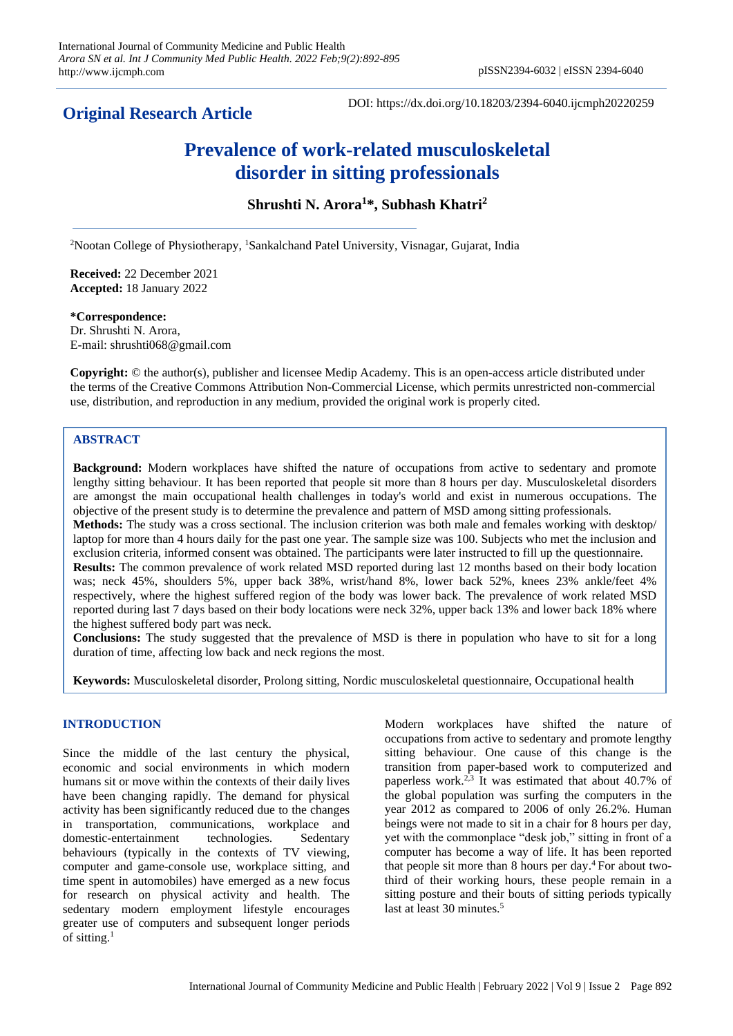# **Original Research Article**

DOI: https://dx.doi.org/10.18203/2394-6040.ijcmph20220259

# **Prevalence of work-related musculoskeletal disorder in sitting professionals**

**Shrushti N. Arora<sup>1</sup>\*, Subhash Khatri<sup>2</sup>**

<sup>2</sup>Nootan College of Physiotherapy, <sup>1</sup>Sankalchand Patel University, Visnagar, Gujarat, India

**Received:** 22 December 2021 **Accepted:** 18 January 2022

#### **\*Correspondence:**

Dr. Shrushti N. Arora, E-mail: shrushti068@gmail.com

**Copyright:** © the author(s), publisher and licensee Medip Academy. This is an open-access article distributed under the terms of the Creative Commons Attribution Non-Commercial License, which permits unrestricted non-commercial use, distribution, and reproduction in any medium, provided the original work is properly cited.

# **ABSTRACT**

**Background:** Modern workplaces have shifted the nature of occupations from active to sedentary and promote lengthy sitting behaviour. It has been reported that people sit more than 8 hours per day. Musculoskeletal disorders are amongst the main occupational health challenges in today's world and exist in numerous occupations. The objective of the present study is to determine the prevalence and pattern of MSD among sitting professionals.

**Methods:** The study was a cross sectional. The inclusion criterion was both male and females working with desktop/ laptop for more than 4 hours daily for the past one year. The sample size was 100. Subjects who met the inclusion and exclusion criteria, informed consent was obtained. The participants were later instructed to fill up the questionnaire.

**Results:** The common prevalence of work related MSD reported during last 12 months based on their body location was; neck 45%, shoulders 5%, upper back 38%, wrist/hand 8%, lower back 52%, knees 23% ankle/feet 4% respectively, where the highest suffered region of the body was lower back. The prevalence of work related MSD reported during last 7 days based on their body locations were neck 32%, upper back 13% and lower back 18% where the highest suffered body part was neck.

**Conclusions:** The study suggested that the prevalence of MSD is there in population who have to sit for a long duration of time, affecting low back and neck regions the most.

**Keywords:** Musculoskeletal disorder, Prolong sitting, Nordic musculoskeletal questionnaire, Occupational health

#### **INTRODUCTION**

Since the middle of the last century the physical, economic and social environments in which modern humans sit or move within the contexts of their daily lives have been changing rapidly. The demand for physical activity has been significantly reduced due to the changes in transportation, communications, workplace and domestic-entertainment technologies. Sedentary behaviours (typically in the contexts of TV viewing, computer and game-console use, workplace sitting, and time spent in automobiles) have emerged as a new focus for research on physical activity and health. The sedentary modern employment lifestyle encourages greater use of computers and subsequent longer periods of sitting.<sup>1</sup>

Modern workplaces have shifted the nature of occupations from active to sedentary and promote lengthy sitting behaviour. One cause of this change is the transition from paper-based work to computerized and paperless work. 2,3 It was estimated that about 40.7% of the global population was surfing the computers in the year 2012 as compared to 2006 of only 26.2%. Human beings were not made to sit in a chair for 8 hours per day, yet with the commonplace "desk job," sitting in front of a computer has become a way of life. It has been reported that people sit more than 8 hours per day. <sup>4</sup> For about twothird of their working hours, these people remain in a sitting posture and their bouts of sitting periods typically last at least 30 minutes.<sup>5</sup>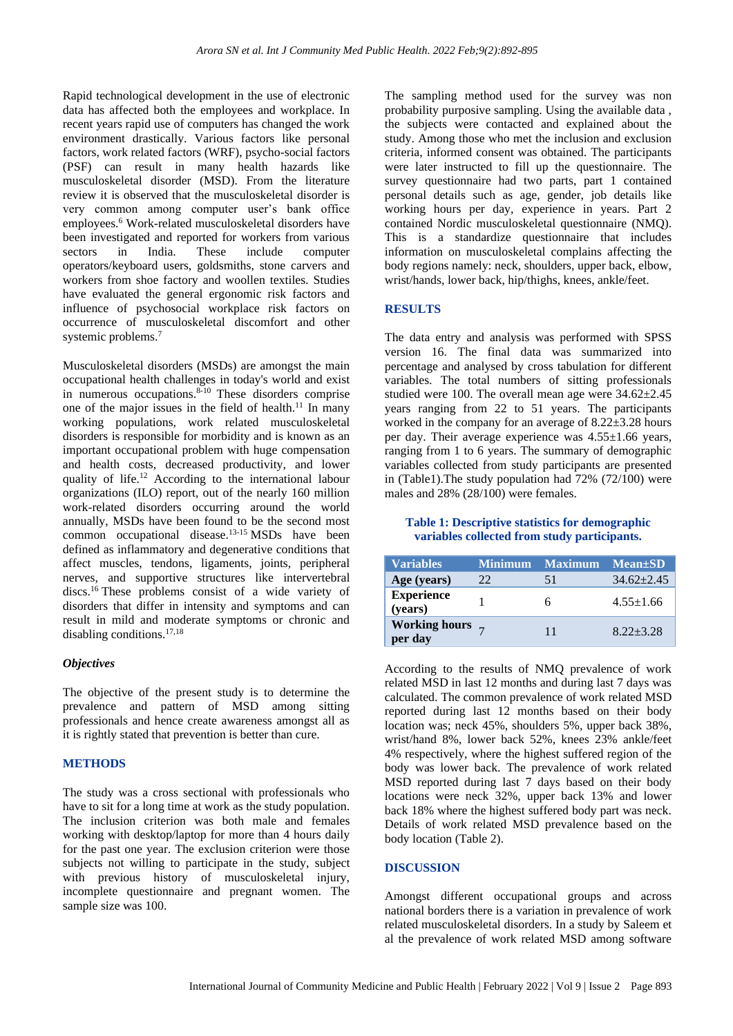Rapid technological development in the use of electronic data has affected both the employees and workplace. In recent years rapid use of computers has changed the work environment drastically. Various factors like personal factors, work related factors (WRF), psycho-social factors (PSF) can result in many health hazards like musculoskeletal disorder (MSD). From the literature review it is observed that the musculoskeletal disorder is very common among computer user's bank office employees. <sup>6</sup> Work-related musculoskeletal disorders have been investigated and reported for workers from various sectors in India. These include computer operators/keyboard users, goldsmiths, stone carvers and workers from shoe factory and woollen textiles. Studies have evaluated the general ergonomic risk factors and influence of psychosocial workplace risk factors on occurrence of musculoskeletal discomfort and other systemic problems.<sup>7</sup>

Musculoskeletal disorders (MSDs) are amongst the main occupational health challenges in today's world and exist in numerous occupations. $8-10$  These disorders comprise one of the major issues in the field of health.<sup>[11](https://cegh.net/article/S2213-3984(20)30086-5/fulltext#bib4)</sup> In many working populations, work related musculoskeletal disorders is responsible for morbidity and is known as an important occupational problem with huge compensation and health costs, decreased productivity, and lower quality of life.<sup>12</sup> According to the international labour organizations (ILO) report, out of the nearly 160 million work-related disorders occurring around the world annually, MSDs have been found to be the second most common occupational disease.13-15 MSDs have been defined as inflammatory and degenerative conditions that affect muscles, tendons, ligaments, joints, peripheral nerves, and supportive structures like intervertebral discs.<sup>16</sup> These problems consist of a wide variety of disorders that differ in intensity and symptoms and can result in mild and moderate symptoms or chronic and disabling conditions.<sup>17,18</sup>

#### *Objectives*

The objective of the present study is to determine the prevalence and pattern of MSD among sitting professionals and hence create awareness amongst all as it is rightly stated that prevention is better than cure.

## **METHODS**

The study was a cross sectional with professionals who have to sit for a long time at work as the study population. The inclusion criterion was both male and females working with desktop/laptop for more than 4 hours daily for the past one year. The exclusion criterion were those subjects not willing to participate in the study, subject with previous history of musculoskeletal injury, incomplete questionnaire and pregnant women. The sample size was 100.

The sampling method used for the survey was non probability purposive sampling. Using the available data , the subjects were contacted and explained about the study. Among those who met the inclusion and exclusion criteria, informed consent was obtained. The participants were later instructed to fill up the questionnaire. The survey questionnaire had two parts, part 1 contained personal details such as age, gender, job details like working hours per day, experience in years. Part 2 contained Nordic musculoskeletal questionnaire (NMQ). This is a standardize questionnaire that includes information on musculoskeletal complains affecting the body regions namely: neck, shoulders, upper back, elbow, wrist/hands, lower back, hip/thighs, knees, ankle/feet.

#### **RESULTS**

The data entry and analysis was performed with SPSS version 16. The final data was summarized into percentage and analysed by cross tabulation for different variables. The total numbers of sitting professionals studied were 100. The overall mean age were 34.62±2.45 years ranging from 22 to 51 years. The participants worked in the company for an average of 8.22±3.28 hours per day. Their average experience was 4.55±1.66 years, ranging from 1 to 6 years. The summary of demographic variables collected from study participants are presented in (Table1).The study population had 72% (72/100) were males and 28% (28/100) were females.

## **Table 1: Descriptive statistics for demographic variables collected from study participants.**

| <b>Variables</b>             | <b>Minimum</b> | <b>Maximum</b> | <b>Mean</b> + SD |
|------------------------------|----------------|----------------|------------------|
| Age (years)                  | 22             | 51             | $34.62 + 2.45$   |
| <b>Experience</b><br>(years) |                | h              | $4.55 \pm 1.66$  |
| Working hours $\frac{7}{7}$  |                | 11             | $8.22 + 3.28$    |

According to the results of NMQ prevalence of work related MSD in last 12 months and during last 7 days was calculated. The common prevalence of work related MSD reported during last 12 months based on their body location was; neck 45%, shoulders 5%, upper back 38%, wrist/hand 8%, lower back 52%, knees 23% ankle/feet 4% respectively, where the highest suffered region of the body was lower back. The prevalence of work related MSD reported during last 7 days based on their body locations were neck 32%, upper back 13% and lower back 18% where the highest suffered body part was neck. Details of work related MSD prevalence based on the body location (Table 2).

#### **DISCUSSION**

Amongst different occupational groups and across national borders there is a variation in prevalence of work related musculoskeletal disorders. In a study by Saleem et al the prevalence of work related MSD among software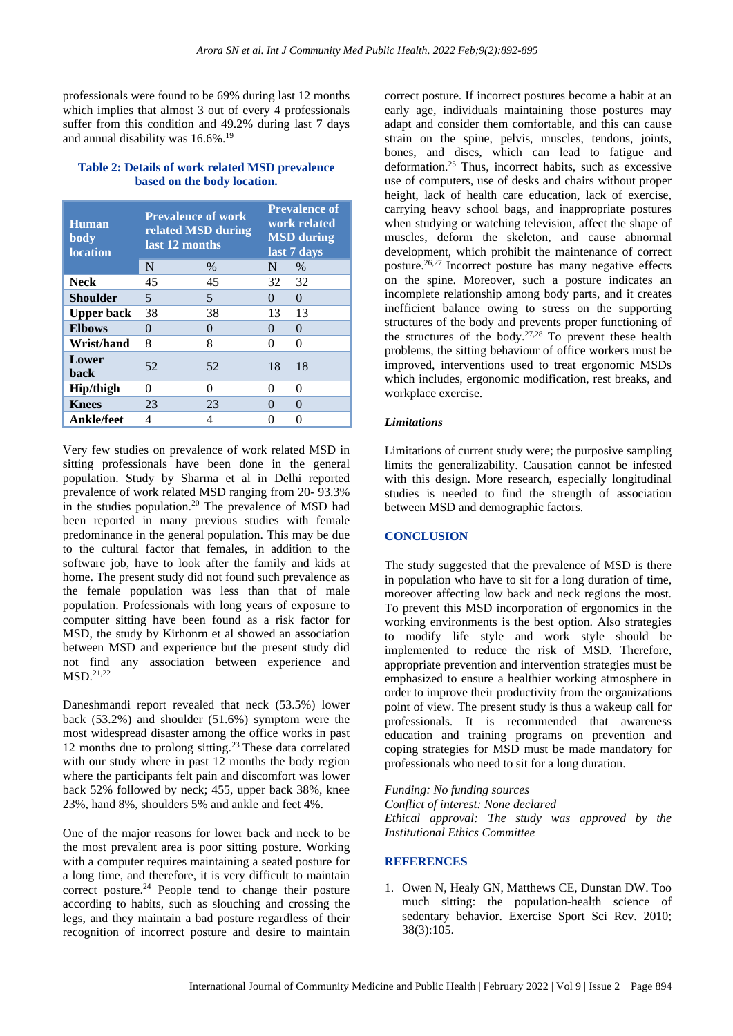professionals were found to be 69% during last 12 months which implies that almost 3 out of every 4 professionals suffer from this condition and 49.2% during last 7 days and annual disability was 16.6%.<sup>19</sup>

| <b>Table 2: Details of work related MSD prevalence</b> |  |  |  |  |  |  |
|--------------------------------------------------------|--|--|--|--|--|--|
| based on the body location.                            |  |  |  |  |  |  |

| Human<br>body<br><b>location</b> | <b>Prevalence of work</b><br>related MSD during<br>last 12 months |      | <b>Prevalence of</b><br>work related<br><b>MSD</b> during<br>last 7 days |          |
|----------------------------------|-------------------------------------------------------------------|------|--------------------------------------------------------------------------|----------|
|                                  | N                                                                 | $\%$ | N                                                                        | $\%$     |
| <b>Neck</b>                      | 45                                                                | 45   | 32                                                                       | 32       |
| <b>Shoulder</b>                  | 5                                                                 | 5    | 0                                                                        | $\Omega$ |
| <b>Upper back</b>                | 38                                                                | 38   | 13                                                                       | 13       |
| <b>Elbows</b>                    | 0                                                                 | 0    | 0                                                                        | $\Omega$ |
| Wrist/hand                       | 8                                                                 | 8    | 0                                                                        | 0        |
| Lower<br>back                    | 52                                                                | 52   | 18                                                                       | 18       |
| <b>Hip/thigh</b>                 | 0                                                                 | 0    | 0                                                                        | 0        |
| <b>Knees</b>                     | 23                                                                | 23   | $\mathcal{O}$                                                            | 0        |
| <b>Ankle/feet</b>                | 4                                                                 | 4    |                                                                          | 0        |

Very few studies on prevalence of work related MSD in sitting professionals have been done in the general population. Study by Sharma et al in Delhi reported prevalence of work related MSD ranging from 20- 93.3% in the studies population.<sup>20</sup> The prevalence of MSD had been reported in many previous studies with female predominance in the general population. This may be due to the cultural factor that females, in addition to the software job, have to look after the family and kids at home. The present study did not found such prevalence as the female population was less than that of male population. Professionals with long years of exposure to computer sitting have been found as a risk factor for MSD, the study by Kirhonrn et al showed an association between MSD and experience but the present study did not find any association between experience and MSD.21,22

Daneshmandi report revealed that neck (53.5%) lower back (53.2%) and shoulder (51.6%) symptom were the most widespread disaster among the office works in past 12 months due to prolong sitting.<sup>23</sup> These data correlated with our study where in past  $12$  months the body region where the participants felt pain and discomfort was lower back 52% followed by neck; 455, upper back 38%, knee 23%, hand 8%, shoulders 5% and ankle and feet 4%.

One of the major reasons for lower back and neck to be the most prevalent area is poor sitting posture. Working with a computer requires maintaining a seated posture for a long time, and therefore, it is very difficult to maintain correct posture.<sup>24</sup> People tend to change their posture according to habits, such as slouching and crossing the legs, and they maintain a bad posture regardless of their recognition of incorrect posture and desire to maintain

correct posture. If incorrect postures become a habit at an early age, individuals maintaining those postures may adapt and consider them comfortable, and this can cause strain on the spine, pelvis, muscles, tendons, joints, bones, and discs, which can lead to fatigue and deformation.<sup>25</sup> Thus, incorrect habits, such as excessive use of computers, use of desks and chairs without proper height, lack of health care education, lack of exercise, carrying heavy school bags, and inappropriate postures when studying or watching television, affect the shape of muscles, deform the skeleton, and cause abnormal development, which prohibit the maintenance of correct posture.26,27 Incorrect posture has many negative effects on the spine. Moreover, such a posture indicates an incomplete relationship among body parts, and it creates inefficient balance owing to stress on the supporting structures of the body and prevents proper functioning of the structures of the body.<sup>27,28</sup> To prevent these health problems, the sitting behaviour of office workers must be improved, interventions used to treat ergonomic MSDs which includes, ergonomic modification, rest breaks, and workplace exercise.

#### *Limitations*

Limitations of current study were; the purposive sampling limits the generalizability. Causation cannot be infested with this design. More research, especially longitudinal studies is needed to find the strength of association between MSD and demographic factors.

#### **CONCLUSION**

The study suggested that the prevalence of MSD is there in population who have to sit for a long duration of time, moreover affecting low back and neck regions the most. To prevent this MSD incorporation of ergonomics in the working environments is the best option. Also strategies to modify life style and work style should be implemented to reduce the risk of MSD. Therefore, appropriate prevention and intervention strategies must be emphasized to ensure a healthier working atmosphere in order to improve their productivity from the organizations point of view. The present study is thus a wakeup call for professionals. It is recommended that awareness education and training programs on prevention and coping strategies for MSD must be made mandatory for professionals who need to sit for a long duration.

*Funding: No funding sources*

*Conflict of interest: None declared Ethical approval: The study was approved by the Institutional Ethics Committee*

#### **REFERENCES**

1. Owen N, Healy GN, Matthews CE, Dunstan DW. Too much sitting: the population-health science of sedentary behavior. Exercise Sport Sci Rev. 2010; 38(3):105.